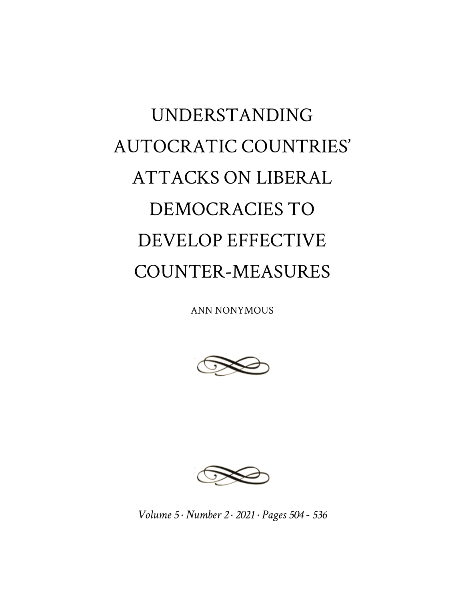## UNDERSTANDING AUTOCRATIC COUNTRIES' ATTACKS ON LIBERAL DEMOCRACIES TO DEVELOP EFFECTIVE COUNTER-MEASURES

ANN NONYMOUS





*Volume 5 · Number 2 · 2021 · Pages 504 - 536*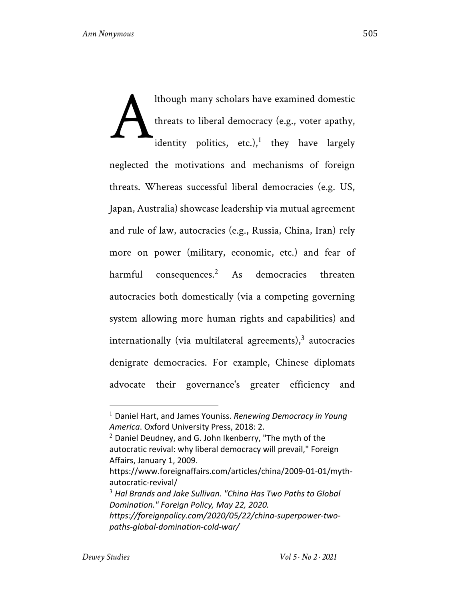lthough many scholars have examined domestic threats to liberal democracy (e.g., voter apathy, identity politics, etc.),<sup>1</sup> they have largely neglected the motivations and mechanisms of foreign threats. Whereas successful liberal democracies (e.g. US, Japan, Australia) showcase leadership via mutual agreement and rule of law, autocracies (e.g., Russia, China, Iran) rely more on power (military, economic, etc.) and fear of harmful consequences.<sup>2</sup> As democracies threaten autocracies both domestically (via a competing governing system allowing more human rights and capabilities) and internationally (via multilateral agreements), $3$  autocracies denigrate democracies. For example, Chinese diplomats advocate their governance's greater efficiency and A

<sup>1</sup> Daniel Hart, and James Youniss. *Renewing Democracy in Young America*. Oxford University Press, 2018: 2.

 $2$  Daniel Deudney, and G. John Ikenberry, "The myth of the autocratic revival: why liberal democracy will prevail," Foreign Affairs, January 1, 2009.

https://www.foreignaffairs.com/articles/china/2009-01-01/mythautocratic-revival/

<sup>3</sup> *Hal Brands and Jake Sullivan. "China Has Two Paths to Global Domination." Foreign Policy, May 22, 2020. https://foreignpolicy.com/2020/05/22/china-superpower-two-*

*paths-global-domination-cold-war/*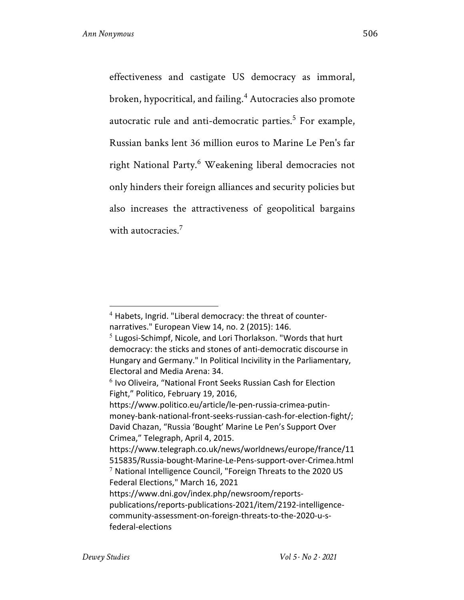effectiveness and castigate US democracy as immoral, broken, hypocritical, and failing.<sup>4</sup> Autocracies also promote autocratic rule and anti-democratic parties.<sup>5</sup> For example, Russian banks lent 36 million euros to Marine Le Pen's far right National Party.<sup>6</sup> Weakening liberal democracies not only hinders their foreign alliances and security policies but also increases the attractiveness of geopolitical bargains with autocracies<sup>7</sup>

Federal Elections," March 16, 2021

 $4$  Habets, Ingrid. "Liberal democracy: the threat of counternarratives." European View 14, no. 2 (2015): 146.

 $5$  Lugosi-Schimpf, Nicole, and Lori Thorlakson. "Words that hurt democracy: the sticks and stones of anti-democratic discourse in Hungary and Germany." In Political Incivility in the Parliamentary, Electoral and Media Arena: 34.<br><sup>6</sup> Ivo Oliveira, "National Front Seeks Russian Cash for Election

Fight," Politico, February 19, 2016,

https://www.politico.eu/article/le-pen-russia-crimea-putinmoney-bank-national-front-seeks-russian-cash-for-election-fight/; David Chazan, "Russia 'Bought' Marine Le Pen's Support Over Crimea," Telegraph, April 4, 2015.

https://www.telegraph.co.uk/news/worldnews/europe/france/11 515835/Russia-bought-Marine-Le-Pens-support-over-Crimea.html  $7$  National Intelligence Council, "Foreign Threats to the 2020 US

https://www.dni.gov/index.php/newsroom/reportspublications/reports-publications-2021/item/2192-intelligencecommunity-assessment-on-foreign-threats-to-the-2020-u-sfederal-elections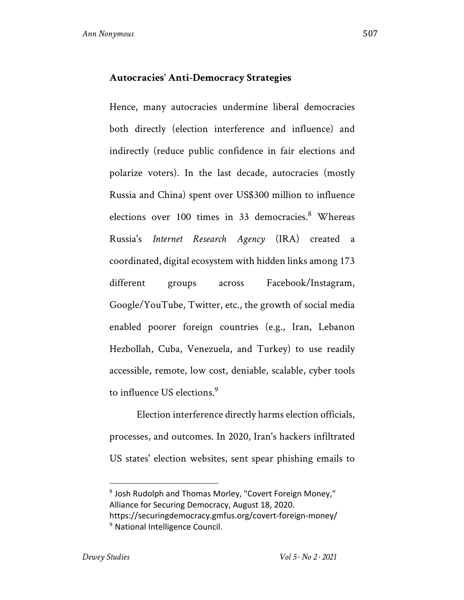## **Autocracies' Anti-Democracy Strategies**

Hence, many autocracies undermine liberal democracies both directly (election interference and influence) and indirectly (reduce public confidence in fair elections and polarize voters). In the last decade, autocracies (mostly Russia and China) spent over US\$300 million to influence elections over 100 times in 33 democracies.<sup>8</sup> Whereas Russia's *Internet Research Agency* (IRA) created a coordinated, digital ecosystem with hidden links among 173 different groups across Facebook/Instagram, Google/YouTube, Twitter, etc., the growth of social media enabled poorer foreign countries (e.g., Iran, Lebanon Hezbollah, Cuba, Venezuela, and Turkey) to use readily accessible, remote, low cost, deniable, scalable, cyber tools to influence US elections.<sup>9</sup>

Election interference directly harms election officials, processes, and outcomes. In 2020, Iran's hackers infiltrated US states' election websites, sent spear phishing emails to

<sup>8</sup> Josh Rudolph and Thomas Morley, "Covert Foreign Money," Alliance for Securing Democracy, August 18, 2020. https://securingdemocracy.gmfus.org/covert-foreign-money/ <sup>9</sup> National Intelligence Council.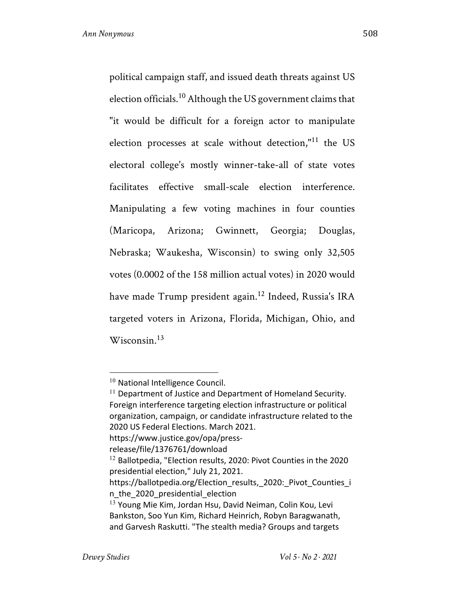political campaign staff, and issued death threats against US election officials.<sup>10</sup> Although the US government claims that "it would be difficult for a foreign actor to manipulate election processes at scale without detection," $11$  the US electoral college's mostly winner-take-all of state votes facilitates effective small-scale election interference. Manipulating a few voting machines in four counties (Maricopa, Arizona; Gwinnett, Georgia; Douglas, Nebraska; Waukesha, Wisconsin) to swing only 32,505 votes (0.0002 of the 158 million actual votes) in 2020 would have made Trump president again.<sup>12</sup> Indeed, Russia's IRA targeted voters in Arizona, Florida, Michigan, Ohio, and Wisconsin. $13$ 

release/file/1376761/download

<sup>&</sup>lt;sup>10</sup> National Intelligence Council.

 $11$  Department of Justice and Department of Homeland Security. Foreign interference targeting election infrastructure or political organization, campaign, or candidate infrastructure related to the 2020 US Federal Elections. March 2021. https://www.justice.gov/opa/press-

 $12$  Ballotpedia, "Election results, 2020: Pivot Counties in the 2020 presidential election," July 21, 2021.

https://ballotpedia.org/Election results, 2020: Pivot Counties i n\_the\_2020\_presidential\_election

<sup>&</sup>lt;sup>13</sup> Young Mie Kim, Jordan Hsu, David Neiman, Colin Kou, Levi Bankston, Soo Yun Kim, Richard Heinrich, Robyn Baragwanath, and Garvesh Raskutti. "The stealth media? Groups and targets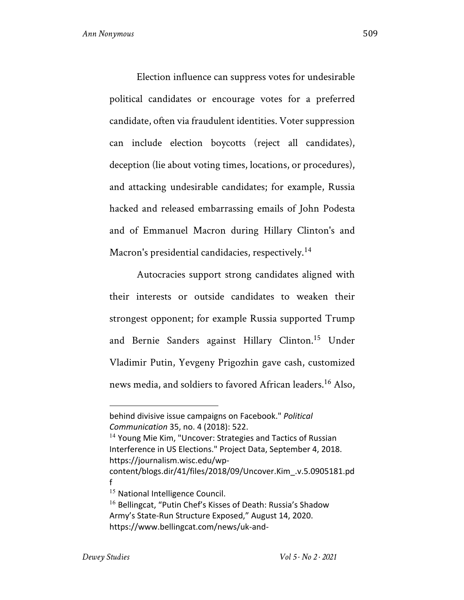Election influence can suppress votes for undesirable political candidates or encourage votes for a preferred candidate, often via fraudulent identities. Voter suppression can include election boycotts (reject all candidates), deception (lie about voting times, locations, or procedures), and attacking undesirable candidates; for example, Russia hacked and released embarrassing emails of John Podesta and of Emmanuel Macron during Hillary Clinton's and Macron's presidential candidacies, respectively.<sup>14</sup>

Autocracies support strong candidates aligned with their interests or outside candidates to weaken their strongest opponent; for example Russia supported Trump and Bernie Sanders against Hillary Clinton.<sup>15</sup> Under Vladimir Putin, Yevgeny Prigozhin gave cash, customized news media, and soldiers to favored African leaders.<sup>16</sup> Also,

Interference in US Elections." Project Data, September 4, 2018. https://journalism.wisc.edu/wp-

behind divisive issue campaigns on Facebook." *Political Communication* 35, no. 4 (2018): 522. <sup>14</sup> Young Mie Kim, "Uncover: Strategies and Tactics of Russian

content/blogs.dir/41/files/2018/09/Uncover.Kim\_.v.5.0905181.pd f

<sup>&</sup>lt;sup>15</sup> National Intelligence Council.

<sup>&</sup>lt;sup>16</sup> Bellingcat, "Putin Chef's Kisses of Death: Russia's Shadow Army's State-Run Structure Exposed," August 14, 2020. https://www.bellingcat.com/news/uk-and-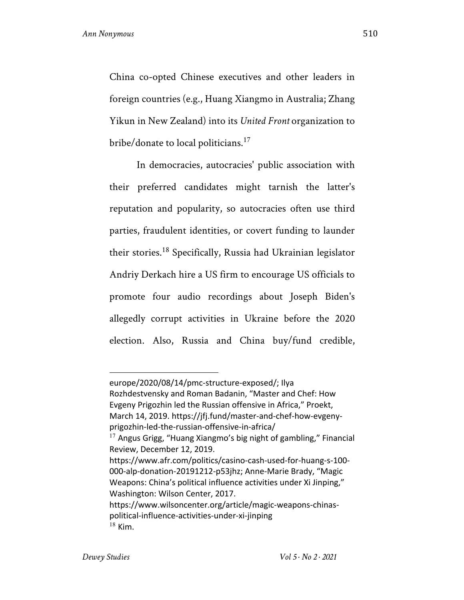China co-opted Chinese executives and other leaders in foreign countries (e.g., Huang Xiangmo in Australia; Zhang Yikun in New Zealand) into its *United Front* organization to bribe/donate to local politicians. $17$ 

In democracies, autocracies' public association with their preferred candidates might tarnish the latter's reputation and popularity, so autocracies often use third parties, fraudulent identities, or covert funding to launder their stories.<sup>18</sup> Specifically, Russia had Ukrainian legislator Andriy Derkach hire a US firm to encourage US officials to promote four audio recordings about Joseph Biden's allegedly corrupt activities in Ukraine before the 2020 election. Also, Russia and China buy/fund credible,

europe/2020/08/14/pmc-structure-exposed/; Ilya Rozhdestvensky and Roman Badanin, "Master and Chef: How Evgeny Prigozhin led the Russian offensive in Africa," Proekt, March 14, 2019. https://jfj.fund/master-and-chef-how-evgenyprigozhin-led-the-russian-offensive-in-africa/  $17$  Angus Grigg, "Huang Xiangmo's big night of gambling," Financial Review, December 12, 2019. https://www.afr.com/politics/casino-cash-used-for-huang-s-100- 000-alp-donation-20191212-p53jhz; Anne-Marie Brady, "Magic Weapons: China's political influence activities under Xi Jinping," Washington: Wilson Center, 2017.

https://www.wilsoncenter.org/article/magic-weapons-chinaspolitical-influence-activities-under-xi-jinping  $18$  Kim.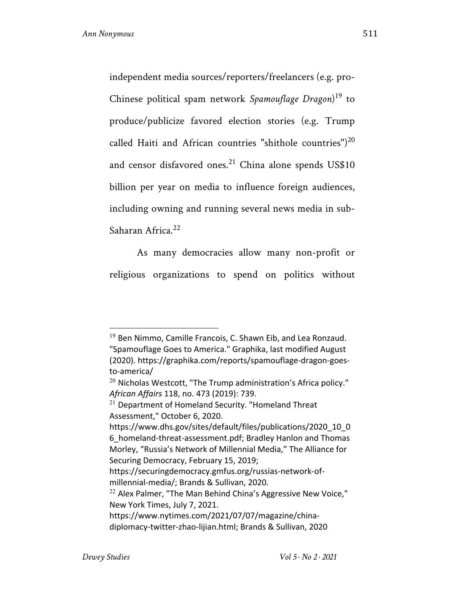independent media sources/reporters/freelancers (e.g. pro-Chinese political spam network *Spamouflage Dragon*) <sup>19</sup> to produce/publicize favored election stories (e.g. Trump called Haiti and African countries "shithole countries")<sup>20</sup> and censor disfavored ones.<sup>21</sup> China alone spends US\$10 billion per year on media to influence foreign audiences, including owning and running several news media in sub-Saharan Africa<sup>22</sup>

As many democracies allow many non-profit or religious organizations to spend on politics without

 $19$  Ben Nimmo, Camille Francois, C. Shawn Eib, and Lea Ronzaud. "Spamouflage Goes to America." Graphika, last modified August (2020). https://graphika.com/reports/spamouflage-dragon-goesto-america/

 $20$  Nicholas Westcott, "The Trump administration's Africa policy." *African Affairs* 118, no. 473 (2019): 739.

<sup>21</sup> Department of Homeland Security. "Homeland Threat Assessment," October 6, 2020.

https://www.dhs.gov/sites/default/files/publications/2020\_10\_0 6\_homeland-threat-assessment.pdf; Bradley Hanlon and Thomas Morley, "Russia's Network of Millennial Media," The Alliance for Securing Democracy, February 15, 2019;

https://securingdemocracy.gmfus.org/russias-network-ofmillennial-media/; Brands & Sullivan, 2020.

 $22$  Alex Palmer, "The Man Behind China's Aggressive New Voice," New York Times, July 7, 2021.

https://www.nytimes.com/2021/07/07/magazine/chinadiplomacy-twitter-zhao-lijian.html; Brands & Sullivan, 2020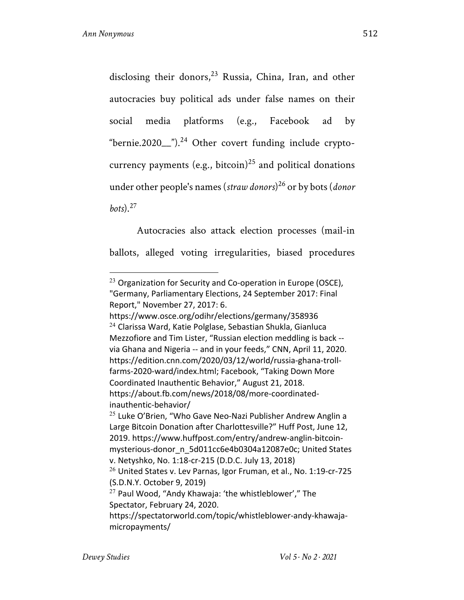disclosing their donors,  $23$  Russia, China, Iran, and other autocracies buy political ads under false names on their social media platforms (e.g., Facebook ad by "bernie.2020\_\_" $)^{24}$  Other covert funding include cryptocurrency payments (e.g., bitcoin)<sup>25</sup> and political donations under other people's names (*straw donors*) <sup>26</sup> or by bots (*donor bots*).<sup>27</sup>

Autocracies also attack election processes (mail-in ballots, alleged voting irregularities, biased procedures

 $23$  Organization for Security and Co-operation in Europe (OSCE), "Germany, Parliamentary Elections, 24 September 2017: Final Report," November 27, 2017: 6.

https://www.osce.org/odihr/elections/germany/358936  $24$  Clarissa Ward, Katie Polglase, Sebastian Shukla, Gianluca Mezzofiore and Tim Lister, "Russian election meddling is back - via Ghana and Nigeria -- and in your feeds," CNN, April 11, 2020. https://edition.cnn.com/2020/03/12/world/russia-ghana-trollfarms-2020-ward/index.html; Facebook, "Taking Down More Coordinated Inauthentic Behavior," August 21, 2018. https://about.fb.com/news/2018/08/more-coordinatedinauthentic-behavior/

 $25$  Luke O'Brien, "Who Gave Neo-Nazi Publisher Andrew Anglin a Large Bitcoin Donation after Charlottesville?" Huff Post, June 12, 2019. https://www.huffpost.com/entry/andrew-anglin-bitcoinmysterious-donor\_n\_5d011cc6e4b0304a12087e0c; United States v. Netyshko, No. 1:18-cr-215 (D.D.C. July 13, 2018)

<sup>26</sup> United States v. Lev Parnas, Igor Fruman, et al., No. 1:19-cr-725 (S.D.N.Y. October 9, 2019)

 $27$  Paul Wood, "Andy Khawaja: 'the whistleblower'," The Spectator, February 24, 2020.

https://spectatorworld.com/topic/whistleblower-andy-khawajamicropayments/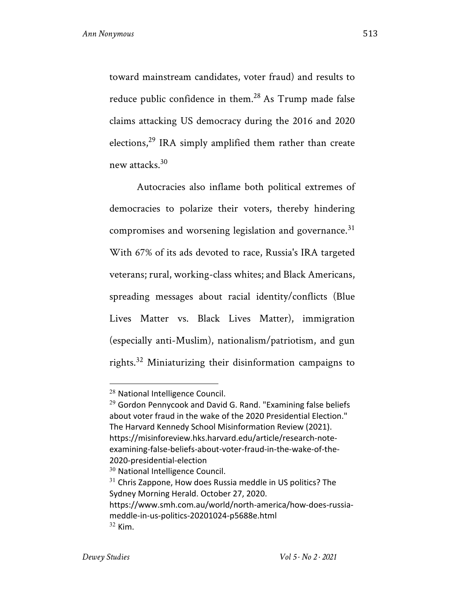toward mainstream candidates, voter fraud) and results to reduce public confidence in them. $^{28}$  As Trump made false claims attacking US democracy during the 2016 and 2020 elections, $^{29}$  IRA simply amplified them rather than create new attacks.30

Autocracies also inflame both political extremes of democracies to polarize their voters, thereby hindering compromises and worsening legislation and governance.<sup>31</sup> With 67% of its ads devoted to race, Russia's IRA targeted veterans; rural, working-class whites; and Black Americans, spreading messages about racial identity/conflicts (Blue Lives Matter vs. Black Lives Matter), immigration (especially anti-Muslim), nationalism/patriotism, and gun rights.<sup>32</sup> Miniaturizing their disinformation campaigns to

<sup>28</sup> National Intelligence Council.

 $29$  Gordon Pennycook and David G. Rand. "Examining false beliefs about voter fraud in the wake of the 2020 Presidential Election." The Harvard Kennedy School Misinformation Review (2021). https://misinforeview.hks.harvard.edu/article/research-noteexamining-false-beliefs-about-voter-fraud-in-the-wake-of-the-2020-presidential-election

<sup>&</sup>lt;sup>30</sup> National Intelligence Council.

 $31$  Chris Zappone, How does Russia meddle in US politics? The Sydney Morning Herald. October 27, 2020. https://www.smh.com.au/world/north-america/how-does-russiameddle-in-us-politics-20201024-p5688e.html  $32$  Kim.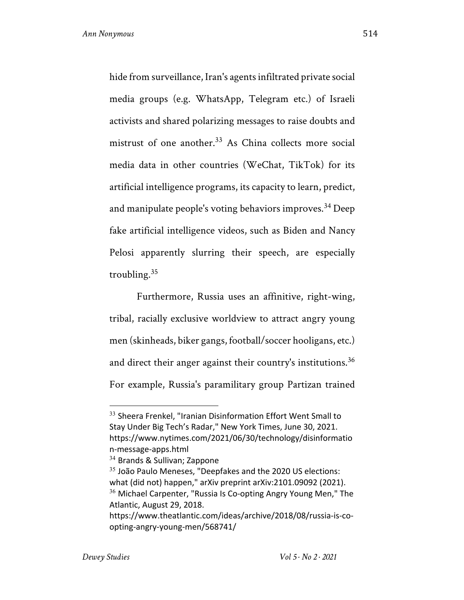hide from surveillance, Iran's agents infiltrated private social media groups (e.g. WhatsApp, Telegram etc.) of Israeli activists and shared polarizing messages to raise doubts and mistrust of one another.<sup>33</sup> As China collects more social media data in other countries (WeChat, TikTok) for its artificial intelligence programs, its capacity to learn, predict, and manipulate people's voting behaviors improves.<sup>34</sup> Deep fake artificial intelligence videos, such as Biden and Nancy Pelosi apparently slurring their speech, are especially troubling. $35$ 

Furthermore, Russia uses an affinitive, right-wing, tribal, racially exclusive worldview to attract angry young men (skinheads, biker gangs, football/soccer hooligans, etc.) and direct their anger against their country's institutions.<sup>36</sup> For example, Russia's paramilitary group Partizan trained

<sup>&</sup>lt;sup>33</sup> Sheera Frenkel, "Iranian Disinformation Effort Went Small to Stay Under Big Tech's Radar," New York Times, June 30, 2021. https://www.nytimes.com/2021/06/30/technology/disinformatio n-message-apps.html

<sup>&</sup>lt;sup>34</sup> Brands & Sullivan; Zappone

<sup>&</sup>lt;sup>35</sup> João Paulo Meneses, "Deepfakes and the 2020 US elections: what (did not) happen," arXiv preprint arXiv:2101.09092 (2021).  $36$  Michael Carpenter, "Russia Is Co-opting Angry Young Men," The Atlantic, August 29, 2018. https://www.theatlantic.com/ideas/archive/2018/08/russia-is-co-

opting-angry-young-men/568741/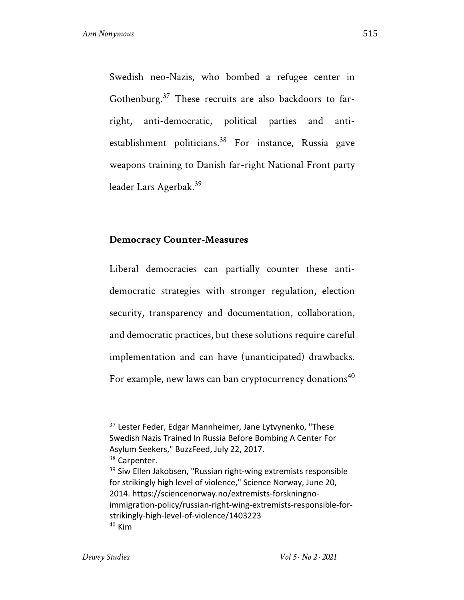Swedish neo-Nazis, who bombed a refugee center in Gothenburg. $37$  These recruits are also backdoors to farright, anti-democratic, political parties and antiestablishment politicians.<sup>38</sup> For instance, Russia gave weapons training to Danish far-right National Front party leader Lars Agerbak.39

## **Democracy Counter-Measures**

Liberal democracies can partially counter these antidemocratic strategies with stronger regulation, election security, transparency and documentation, collaboration, and democratic practices, but these solutions require careful implementation and can have (unanticipated) drawbacks. For example, new laws can ban cryptocurrency donations<sup>40</sup>

 $37$  Lester Feder, Edgar Mannheimer, Jane Lytvynenko, "These Swedish Nazis Trained In Russia Before Bombing A Center For Asylum Seekers," BuzzFeed, July 22, 2017.

<sup>&</sup>lt;sup>38</sup> Carpenter.

<sup>&</sup>lt;sup>39</sup> Siw Ellen Jakobsen, "Russian right-wing extremists responsible for strikingly high level of violence," Science Norway, June 20, 2014. https://sciencenorway.no/extremists-forskningnoimmigration-policy/russian-right-wing-extremists-responsible-forstrikingly-high-level-of-violence/1403223  $40$  Kim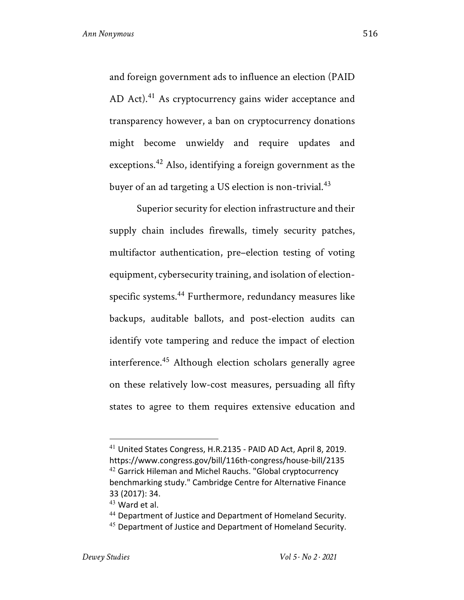and foreign government ads to influence an election (PAID AD Act).<sup>41</sup> As cryptocurrency gains wider acceptance and transparency however, a ban on cryptocurrency donations might become unwieldy and require updates and exceptions.<sup>42</sup> Also, identifying a foreign government as the buyer of an ad targeting a US election is non-trivial.<sup>43</sup>

Superior security for election infrastructure and their supply chain includes firewalls, timely security patches, multifactor authentication, pre–election testing of voting equipment, cybersecurity training, and isolation of electionspecific systems.<sup>44</sup> Furthermore, redundancy measures like backups, auditable ballots, and post-election audits can identify vote tampering and reduce the impact of election interference.<sup>45</sup> Although election scholars generally agree on these relatively low-cost measures, persuading all fifty states to agree to them requires extensive education and

<sup>44</sup> Department of Justice and Department of Homeland Security.

<sup>41</sup> United States Congress, H.R.2135 - PAID AD Act, April 8, 2019. https://www.congress.gov/bill/116th-congress/house-bill/2135 <sup>42</sup> Garrick Hileman and Michel Rauchs. "Global cryptocurrency benchmarking study." Cambridge Centre for Alternative Finance 33 (2017): 34.

 $43$  Ward et al.

<sup>&</sup>lt;sup>45</sup> Department of Justice and Department of Homeland Security.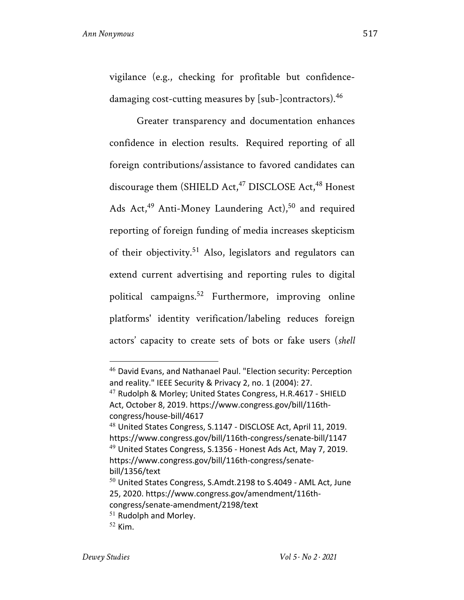vigilance (e.g., checking for profitable but confidencedamaging cost-cutting measures by [sub-]contractors).<sup>46</sup>

Greater transparency and documentation enhances confidence in election results. Required reporting of all foreign contributions/assistance to favored candidates can discourage them (SHIELD Act,<sup>47</sup> DISCLOSE Act,<sup>48</sup> Honest Ads Act, $49$  Anti-Money Laundering Act), $50$  and required reporting of foreign funding of media increases skepticism of their objectivity.<sup>51</sup> Also, legislators and regulators can extend current advertising and reporting rules to digital political campaigns.52 Furthermore, improving online platforms' identity verification/labeling reduces foreign actors' capacity to create sets of bots or fake users (*shell* 

<sup>46</sup> David Evans, and Nathanael Paul. "Election security: Perception and reality." IEEE Security & Privacy 2, no. 1 (2004): 27.

<sup>&</sup>lt;sup>47</sup> Rudolph & Morley; United States Congress, H.R.4617 - SHIELD Act, October 8, 2019. https://www.congress.gov/bill/116thcongress/house-bill/4617

<sup>48</sup> United States Congress, S.1147 - DISCLOSE Act, April 11, 2019. https://www.congress.gov/bill/116th-congress/senate-bill/1147 <sup>49</sup> United States Congress, S.1356 - Honest Ads Act, May 7, 2019. https://www.congress.gov/bill/116th-congress/senatebill/1356/text

 $50$  United States Congress, S.Amdt.2198 to S.4049 - AML Act, June 25, 2020. https://www.congress.gov/amendment/116th-

congress/senate-amendment/2198/text

 $51$  Rudolph and Morley.

 $52$  Kim.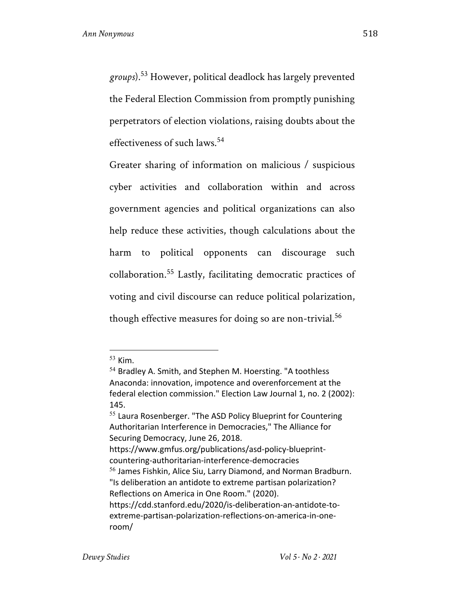*groups*).53 However, political deadlock has largely prevented the Federal Election Commission from promptly punishing perpetrators of election violations, raising doubts about the effectiveness of such laws.<sup>54</sup>

Greater sharing of information on malicious / suspicious cyber activities and collaboration within and across government agencies and political organizations can also help reduce these activities, though calculations about the harm to political opponents can discourage such collaboration.<sup>55</sup> Lastly, facilitating democratic practices of voting and civil discourse can reduce political polarization, though effective measures for doing so are non-trivial.<sup>56</sup>

<sup>53</sup> Kim.

<sup>&</sup>lt;sup>54</sup> Bradley A. Smith, and Stephen M. Hoersting. "A toothless Anaconda: innovation, impotence and overenforcement at the federal election commission." Election Law Journal 1, no. 2 (2002): 145.

<sup>&</sup>lt;sup>55</sup> Laura Rosenberger. "The ASD Policy Blueprint for Countering Authoritarian Interference in Democracies," The Alliance for Securing Democracy, June 26, 2018.

https://www.gmfus.org/publications/asd-policy-blueprintcountering-authoritarian-interference-democracies <sup>56</sup> James Fishkin, Alice Siu, Larry Diamond, and Norman Bradburn. "Is deliberation an antidote to extreme partisan polarization? Reflections on America in One Room." (2020). https://cdd.stanford.edu/2020/is-deliberation-an-antidote-toextreme-partisan-polarization-reflections-on-america-in-oneroom/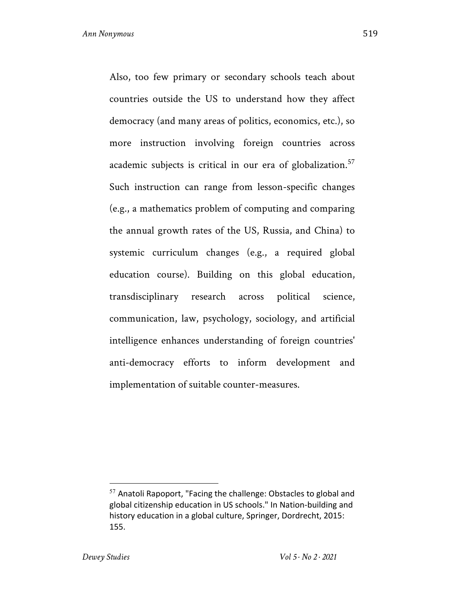Also, too few primary or secondary schools teach about countries outside the US to understand how they affect democracy (and many areas of politics, economics, etc.), so more instruction involving foreign countries across academic subjects is critical in our era of globalization.<sup>57</sup> Such instruction can range from lesson-specific changes (e.g., a mathematics problem of computing and comparing the annual growth rates of the US, Russia, and China) to systemic curriculum changes (e.g., a required global education course). Building on this global education, transdisciplinary research across political science, communication, law, psychology, sociology, and artificial intelligence enhances understanding of foreign countries' anti-democracy efforts to inform development and implementation of suitable counter-measures.

 $57$  Anatoli Rapoport, "Facing the challenge: Obstacles to global and global citizenship education in US schools." In Nation-building and history education in a global culture, Springer, Dordrecht, 2015: 155.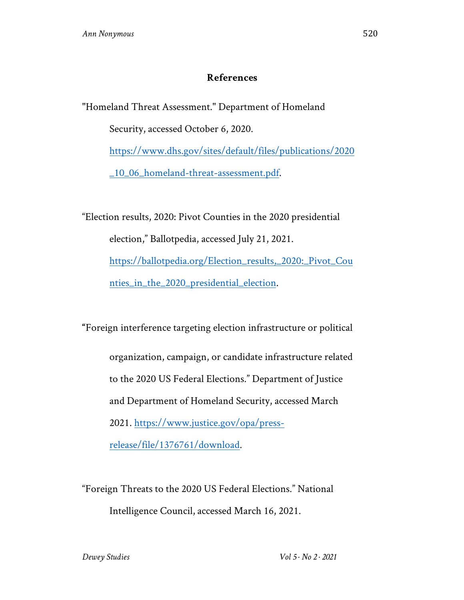## **References**

"Homeland Threat Assessment." Department of Homeland

Security, accessed October 6, 2020.

https://www.dhs.gov/sites/default/files/publications/2020

\_10\_06\_homeland-threat-assessment.pdf.

"Election results, 2020: Pivot Counties in the 2020 presidential election," Ballotpedia, accessed July 21, 2021. https://ballotpedia.org/Election\_results,\_2020:\_Pivot\_Cou nties\_in\_the\_2020\_presidential\_election.

**"**Foreign interference targeting election infrastructure or political

organization, campaign, or candidate infrastructure related

to the 2020 US Federal Elections." Department of Justice

and Department of Homeland Security, accessed March

2021. https://www.justice.gov/opa/press-

release/file/1376761/download.

"Foreign Threats to the 2020 US Federal Elections." National Intelligence Council, accessed March 16, 2021.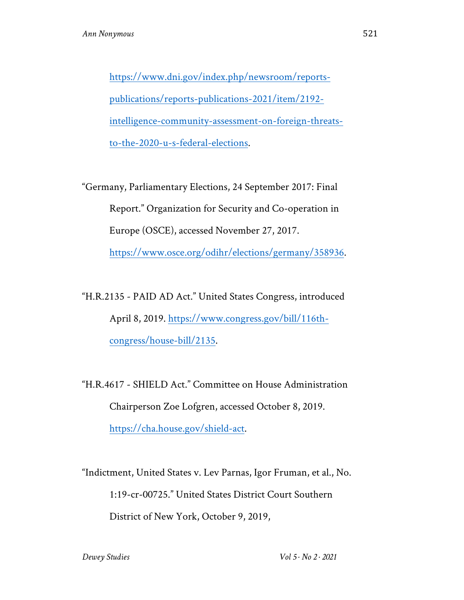https://www.dni.gov/index.php/newsroom/reportspublications/reports-publications-2021/item/2192 intelligence-community-assessment-on-foreign-threatsto-the-2020-u-s-federal-elections.

"Germany, Parliamentary Elections, 24 September 2017: Final Report." Organization for Security and Co-operation in Europe (OSCE), accessed November 27, 2017. https://www.osce.org/odihr/elections/germany/358936.

"H.R.2135 - PAID AD Act." United States Congress, introduced April 8, 2019. https://www.congress.gov/bill/116thcongress/house-bill/2135.

"H.R.4617 - SHIELD Act." Committee on House Administration Chairperson Zoe Lofgren, accessed October 8, 2019. https://cha.house.gov/shield-act.

"Indictment, United States v. Lev Parnas, Igor Fruman, et al., No. 1:19-cr-00725." United States District Court Southern District of New York, October 9, 2019,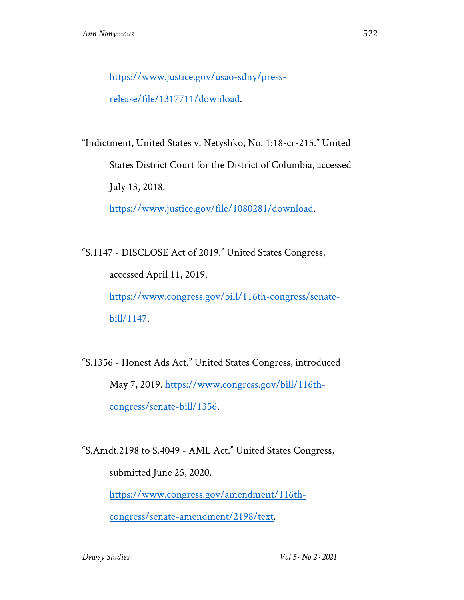https://www.justice.gov/usao-sdny/press-

release/file/1317711/download.

"Indictment, United States v. Netyshko, No. 1:18-cr-215." United

States District Court for the District of Columbia, accessed

July 13, 2018.

https://www.justice.gov/file/1080281/download.

"S.1147 - DISCLOSE Act of 2019." United States Congress, accessed April 11, 2019. https://www.congress.gov/bill/116th-congress/senatebill/1147.

"S.1356 - Honest Ads Act." United States Congress, introduced May 7, 2019. https://www.congress.gov/bill/116thcongress/senate-bill/1356.

"S.Amdt.2198 to S.4049 - AML Act." United States Congress, submitted June 25, 2020. https://www.congress.gov/amendment/116thcongress/senate-amendment/2198/text.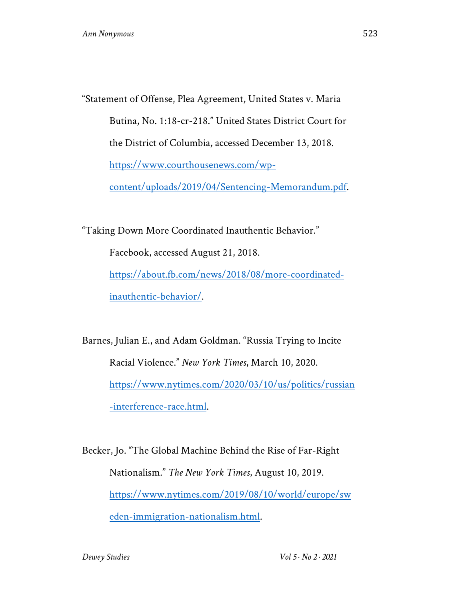"Statement of Offense, Plea Agreement, United States v. Maria Butina, No. 1:18-cr-218." United States District Court for the District of Columbia, accessed December 13, 2018. https://www.courthousenews.com/wpcontent/uploads/2019/04/Sentencing-Memorandum.pdf.

"Taking Down More Coordinated Inauthentic Behavior." Facebook, accessed August 21, 2018. https://about.fb.com/news/2018/08/more-coordinatedinauthentic-behavior/.

Barnes, Julian E., and Adam Goldman. "Russia Trying to Incite Racial Violence." *New York Times*, March 10, 2020. https://www.nytimes.com/2020/03/10/us/politics/russian -interference-race.html.

Becker, Jo. "The Global Machine Behind the Rise of Far-Right Nationalism." *The New York Times*, August 10, 2019. https://www.nytimes.com/2019/08/10/world/europe/sw eden-immigration-nationalism.html.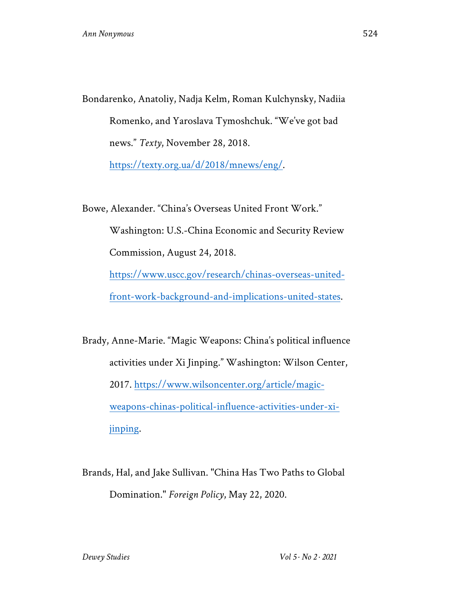Bondarenko, Anatoliy, Nadja Kelm, Roman Kulchynsky, Nadiia Romenko, and Yaroslava Tymoshchuk. "We've got bad news." *Texty*, November 28, 2018. https://texty.org.ua/d/2018/mnews/eng/.

Bowe, Alexander. "China's Overseas United Front Work." Washington: U.S.-China Economic and Security Review Commission, August 24, 2018. https://www.uscc.gov/research/chinas-overseas-unitedfront-work-background-and-implications-united-states.

Brady, Anne-Marie. "Magic Weapons: China's political influence activities under Xi Jinping." Washington: Wilson Center, 2017. https://www.wilsoncenter.org/article/magicweapons-chinas-political-influence-activities-under-xijinping.

Brands, Hal, and Jake Sullivan. "China Has Two Paths to Global Domination." *Foreign Policy*, May 22, 2020.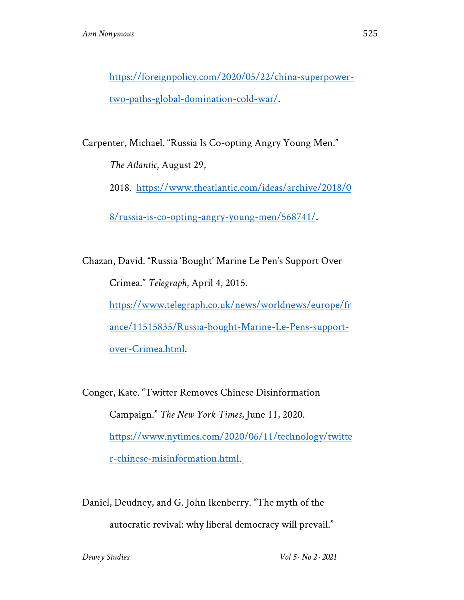https://foreignpolicy.com/2020/05/22/china-superpowertwo-paths-global-domination-cold-war/.

Carpenter, Michael. "Russia Is Co-opting Angry Young Men."

*The Atlantic*, August 29,

2018. https://www.theatlantic.com/ideas/archive/2018/0

8/russia-is-co-opting-angry-young-men/568741/.

Chazan, David. "Russia 'Bought' Marine Le Pen's Support Over Crimea." *Telegraph*, April 4, 2015. https://www.telegraph.co.uk/news/worldnews/europe/fr ance/11515835/Russia-bought-Marine-Le-Pens-supportover-Crimea.html.

Conger, Kate. "Twitter Removes Chinese Disinformation Campaign." *The New York Times*, June 11, 2020. https://www.nytimes.com/2020/06/11/technology/twitte r-chinese-misinformation.html.

Daniel, Deudney, and G. John Ikenberry. "The myth of the autocratic revival: why liberal democracy will prevail."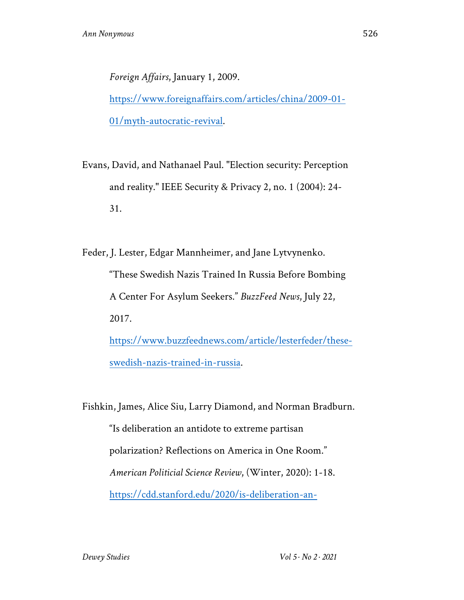*Foreign Affairs*, January 1, 2009. https://www.foreignaffairs.com/articles/china/2009-01- 01/myth-autocratic-revival.

Evans, David, and Nathanael Paul. "Election security: Perception and reality." IEEE Security & Privacy 2, no. 1 (2004): 24- 31.

Feder, J. Lester, Edgar Mannheimer, and Jane Lytvynenko. "These Swedish Nazis Trained In Russia Before Bombing A Center For Asylum Seekers." *BuzzFeed News*, July 22, 2017. https://www.buzzfeednews.com/article/lesterfeder/these-

swedish-nazis-trained-in-russia.

Fishkin, James, Alice Siu, Larry Diamond, and Norman Bradburn.

"Is deliberation an antidote to extreme partisan polarization? Reflections on America in One Room." *American Politicial Science Review*, (Winter, 2020): 1-18. https://cdd.stanford.edu/2020/is-deliberation-an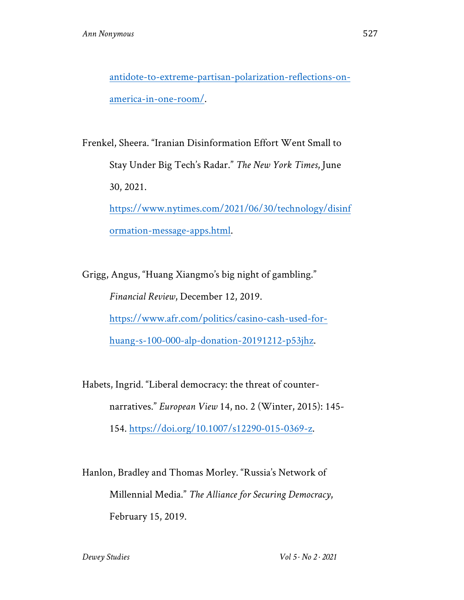antidote-to-extreme-partisan-polarization-reflections-onamerica-in-one-room/.

Frenkel, Sheera. "Iranian Disinformation Effort Went Small to Stay Under Big Tech's Radar." *The New York Times*, June 30, 2021. https://www.nytimes.com/2021/06/30/technology/disinf ormation-message-apps.html.

Grigg, Angus, "Huang Xiangmo's big night of gambling." *Financial Review*, December 12, 2019. https://www.afr.com/politics/casino-cash-used-forhuang-s-100-000-alp-donation-20191212-p53jhz.

Habets, Ingrid. "Liberal democracy: the threat of counternarratives." *European View* 14, no. 2 (Winter, 2015): 145- 154. https://doi.org/10.1007/s12290-015-0369-z.

Hanlon, Bradley and Thomas Morley. "Russia's Network of Millennial Media." *The Alliance for Securing Democracy*, February 15, 2019.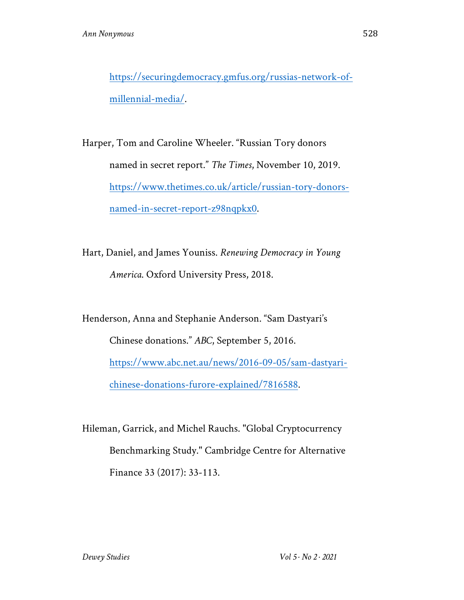https://securingdemocracy.gmfus.org/russias-network-ofmillennial-media/.

Harper, Tom and Caroline Wheeler. "Russian Tory donors named in secret report." *The Times*, November 10, 2019. https://www.thetimes.co.uk/article/russian-tory-donorsnamed-in-secret-report-z98nqpkx0.

Hart, Daniel, and James Youniss. *Renewing Democracy in Young America*. Oxford University Press, 2018.

Henderson, Anna and Stephanie Anderson. "Sam Dastyari's Chinese donations." *ABC*, September 5, 2016. https://www.abc.net.au/news/2016-09-05/sam-dastyarichinese-donations-furore-explained/7816588.

Hileman, Garrick, and Michel Rauchs. "Global Cryptocurrency Benchmarking Study." Cambridge Centre for Alternative Finance 33 (2017): 33-113.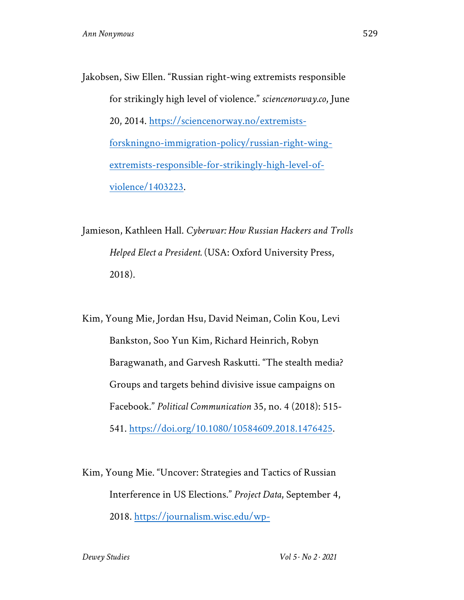Jakobsen, Siw Ellen. "Russian right-wing extremists responsible for strikingly high level of violence." *sciencenorway.co*, June 20, 2014. https://sciencenorway.no/extremistsforskningno-immigration-policy/russian-right-wingextremists-responsible-for-strikingly-high-level-ofviolence/1403223.

Jamieson, Kathleen Hall. *Cyberwar: How Russian Hackers and Trolls Helped Elect a President.* (USA: Oxford University Press, 2018).

Kim, Young Mie, Jordan Hsu, David Neiman, Colin Kou, Levi Bankston, Soo Yun Kim, Richard Heinrich, Robyn Baragwanath, and Garvesh Raskutti. "The stealth media? Groups and targets behind divisive issue campaigns on Facebook." *Political Communication* 35, no. 4 (2018): 515- 541. https://doi.org/10.1080/10584609.2018.1476425.

Kim, Young Mie. "Uncover: Strategies and Tactics of Russian Interference in US Elections." *Project Data*, September 4, 2018. https://journalism.wisc.edu/wp-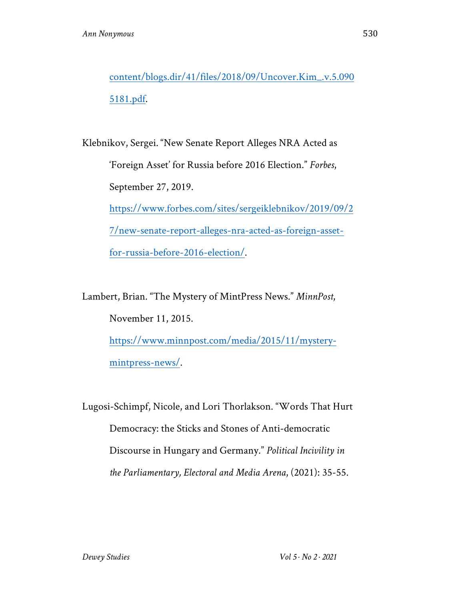content/blogs.dir/41/files/2018/09/Uncover.Kim\_.v.5.090 5181.pdf.

Klebnikov, Sergei. "New Senate Report Alleges NRA Acted as 'Foreign Asset' for Russia before 2016 Election." *Forbes*, September 27, 2019. https://www.forbes.com/sites/sergeiklebnikov/2019/09/2 7/new-senate-report-alleges-nra-acted-as-foreign-assetfor-russia-before-2016-election/.

Lambert, Brian. "The Mystery of MintPress News." *MinnPost*, November 11, 2015. https://www.minnpost.com/media/2015/11/mysterymintpress-news/.

Lugosi-Schimpf, Nicole, and Lori Thorlakson. "Words That Hurt Democracy: the Sticks and Stones of Anti-democratic Discourse in Hungary and Germany." *Political Incivility in the Parliamentary, Electoral and Media Arena*, (2021): 35-55.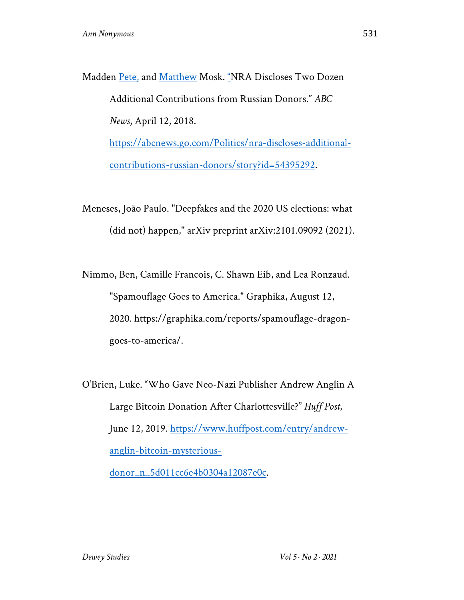Madden Pete, and Matthew Mosk. "NRA Discloses Two Dozen Additional Contributions from Russian Donors." *ABC News*, April 12, 2018. https://abcnews.go.com/Politics/nra-discloses-additionalcontributions-russian-donors/story?id=54395292.

Meneses, João Paulo. "Deepfakes and the 2020 US elections: what (did not) happen," arXiv preprint arXiv:2101.09092 (2021).

Nimmo, Ben, Camille Francois, C. Shawn Eib, and Lea Ronzaud. "Spamouflage Goes to America." Graphika, August 12, 2020. https://graphika.com/reports/spamouflage-dragongoes-to-america/.

O'Brien, Luke. "Who Gave Neo-Nazi Publisher Andrew Anglin A Large Bitcoin Donation After Charlottesville?" *Huff Post*, June 12, 2019. https://www.huffpost.com/entry/andrewanglin-bitcoin-mysteriousdonor\_n\_5d011cc6e4b0304a12087e0c.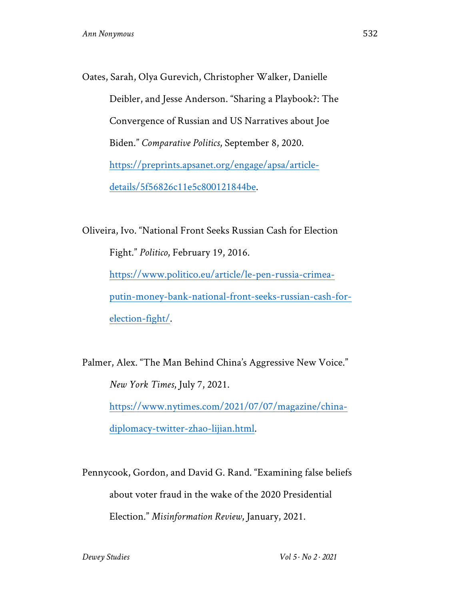Oates, Sarah, Olya Gurevich, Christopher Walker, Danielle Deibler, and Jesse Anderson. "Sharing a Playbook?: The Convergence of Russian and US Narratives about Joe Biden." *Comparative Politics*, September 8, 2020. https://preprints.apsanet.org/engage/apsa/articledetails/5f56826c11e5c800121844be.

Oliveira, Ivo. "National Front Seeks Russian Cash for Election Fight." *Politico*, February 19, 2016. https://www.politico.eu/article/le-pen-russia-crimeaputin-money-bank-national-front-seeks-russian-cash-forelection-fight/.

Palmer, Alex. "The Man Behind China's Aggressive New Voice." *New York Times*, July 7, 2021. https://www.nytimes.com/2021/07/07/magazine/chinadiplomacy-twitter-zhao-lijian.html.

Pennycook, Gordon, and David G. Rand. "Examining false beliefs about voter fraud in the wake of the 2020 Presidential Election." *Misinformation Review*, January, 2021.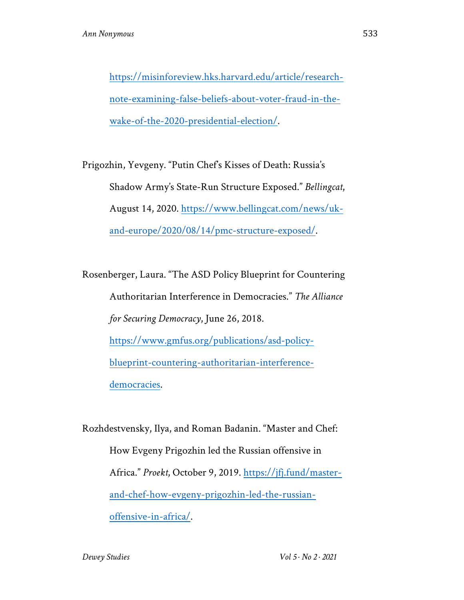https://misinforeview.hks.harvard.edu/article/researchnote-examining-false-beliefs-about-voter-fraud-in-thewake-of-the-2020-presidential-election/.

Prigozhin, Yevgeny. "Putin Chef's Kisses of Death: Russia's Shadow Army's State-Run Structure Exposed." *Bellingcat*, August 14, 2020. https://www.bellingcat.com/news/ukand-europe/2020/08/14/pmc-structure-exposed/.

Rosenberger, Laura. "The ASD Policy Blueprint for Countering Authoritarian Interference in Democracies." *The Alliance for Securing Democracy*, June 26, 2018. https://www.gmfus.org/publications/asd-policyblueprint-countering-authoritarian-interferencedemocracies.

Rozhdestvensky, Ilya, and Roman Badanin. "Master and Chef: How Evgeny Prigozhin led the Russian offensive in Africa." *Proekt*, October 9, 2019. https://jfj.fund/masterand-chef-how-evgeny-prigozhin-led-the-russianoffensive-in-africa/.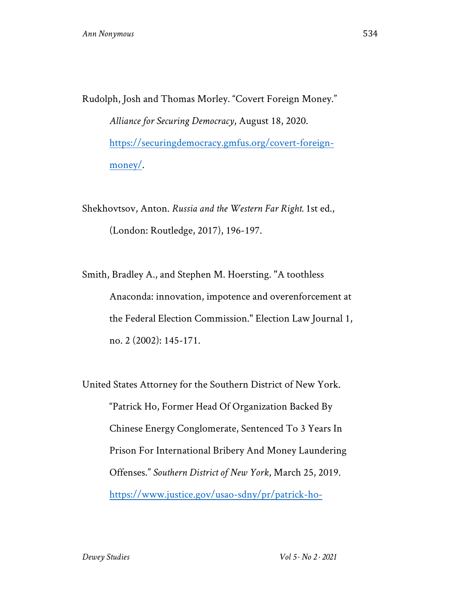Rudolph, Josh and Thomas Morley. "Covert Foreign Money." *Alliance for Securing Democracy*, August 18, 2020. https://securingdemocracy.gmfus.org/covert-foreignmoney/.

Shekhovtsov, Anton. *Russia and the Western Far Right.* 1st ed., (London: Routledge, 2017), 196-197.

Smith, Bradley A., and Stephen M. Hoersting. "A toothless Anaconda: innovation, impotence and overenforcement at the Federal Election Commission." Election Law Journal 1, no. 2 (2002): 145-171.

United States Attorney for the Southern District of New York. "Patrick Ho, Former Head Of Organization Backed By Chinese Energy Conglomerate, Sentenced To 3 Years In Prison For International Bribery And Money Laundering Offenses." *Southern District of New York*, March 25, 2019. https://www.justice.gov/usao-sdny/pr/patrick-ho-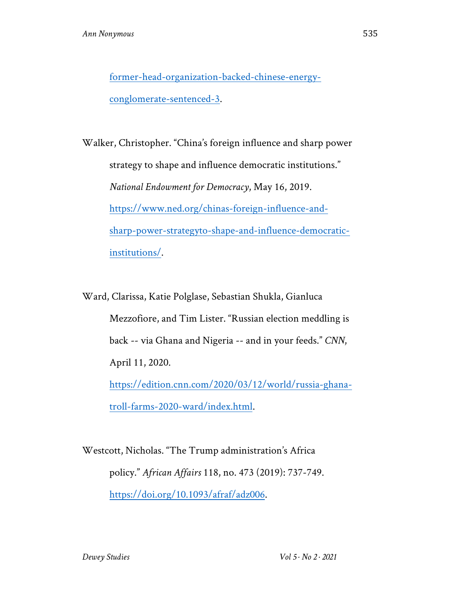former-head-organization-backed-chinese-energyconglomerate-sentenced-3.

Walker, Christopher. "China's foreign influence and sharp power strategy to shape and influence democratic institutions." *National Endowment for Democracy*, May 16, 2019. https://www.ned.org/chinas-foreign-influence-andsharp-power-strategyto-shape-and-influence-democraticinstitutions/.

Ward, Clarissa, Katie Polglase, Sebastian Shukla, Gianluca Mezzofiore, and Tim Lister. "Russian election meddling is back -- via Ghana and Nigeria -- and in your feeds." *CNN*, April 11, 2020. https://edition.cnn.com/2020/03/12/world/russia-ghana-

troll-farms-2020-ward/index.html.

Westcott, Nicholas. "The Trump administration's Africa policy." *African Affairs* 118, no. 473 (2019): 737-749. https://doi.org/10.1093/afraf/adz006.